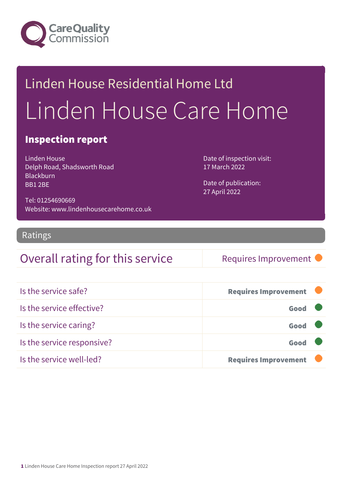

# Linden House Residential Home Ltd Linden House Care Home

### Inspection report

Linden House Delph Road, Shadsworth Road **Blackburn** BB1 2BE

Date of publication: 27 April 2022

Date of inspection visit:

17 March 2022

Tel: 01254690669 Website: www.lindenhousecarehome.co.uk

### Ratings

### Overall rating for this service Requires Improvement

| Is the service safe?       | <b>Requires Improvement</b> |  |
|----------------------------|-----------------------------|--|
| Is the service effective?  | Good                        |  |
| Is the service caring?     | Good                        |  |
| Is the service responsive? | Good                        |  |
| Is the service well-led?   | <b>Requires Improvement</b> |  |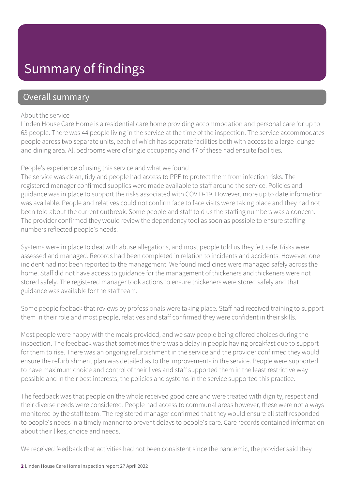## Summary of findings

### Overall summary

#### About the service

Linden House Care Home is a residential care home providing accommodation and personal care for up to 63 people. There was 44 people living in the service at the time of the inspection. The service accommodates people across two separate units, each of which has separate facilities both with access to a large lounge and dining area. All bedrooms were of single occupancy and 47 of these had ensuite facilities.

#### People's experience of using this service and what we found

The service was clean, tidy and people had access to PPE to protect them from infection risks. The registered manager confirmed supplies were made available to staff around the service. Policies and guidance was in place to support the risks associated with COVID-19. However, more up to date information was available. People and relatives could not confirm face to face visits were taking place and they had not been told about the current outbreak. Some people and staff told us the staffing numbers was a concern. The provider confirmed they would review the dependency tool as soon as possible to ensure staffing numbers reflected people's needs.

Systems were in place to deal with abuse allegations, and most people told us they felt safe. Risks were assessed and managed. Records had been completed in relation to incidents and accidents. However, one incident had not been reported to the management. We found medicines were managed safely across the home. Staff did not have access to guidance for the management of thickeners and thickeners were not stored safely. The registered manager took actions to ensure thickeners were stored safely and that guidance was available for the staff team.

Some people fedback that reviews by professionals were taking place. Staff had received training to support them in their role and most people, relatives and staff confirmed they were confident in their skills.

Most people were happy with the meals provided, and we saw people being offered choices during the inspection. The feedback was that sometimes there was a delay in people having breakfast due to support for them to rise. There was an ongoing refurbishment in the service and the provider confirmed they would ensure the refurbishment plan was detailed as to the improvements in the service. People were supported to have maximum choice and control of their lives and staff supported them in the least restrictive way possible and in their best interests; the policies and systems in the service supported this practice.

The feedback was that people on the whole received good care and were treated with dignity, respect and their diverse needs were considered. People had access to communal areas however, these were not always monitored by the staff team. The registered manager confirmed that they would ensure all staff responded to people's needs in a timely manner to prevent delays to people's care. Care records contained information about their likes, choice and needs.

We received feedback that activities had not been consistent since the pandemic, the provider said they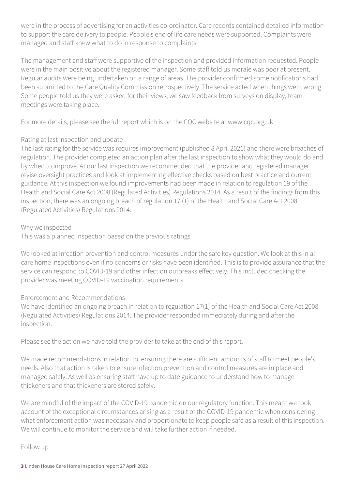were in the process of advertising for an activities co-ordinator. Care records contained detailed information to support the care delivery to people. People's end of life care needs were supported. Complaints were managed and staff knew what to do in response to complaints.

The management and staff were supportive of the inspection and provided information requested. People were in the main positive about the registered manager. Some staff told us morale was poor at present. Regular audits were being undertaken on a range of areas. The provider confirmed some notifications had been submitted to the Care Quality Commission retrospectively. The service acted when things went wrong. Some people told us they were asked for their views, we saw feedback from surveys on display, team meetings were taking place.

For more details, please see the full report which is on the CQC website at www.cqc.org.uk

#### Rating at last inspection and update

The last rating for the service was requires improvement (published 8 April 2021) and there were breaches of regulation. The provider completed an action plan after the last inspection to show what they would do and by when to improve. At our last inspection we recommended that the provider and registered manager revise oversight practices and look at implementing effective checks based on best practice and current guidance. At this inspection we found improvements had been made in relation to regulation 19 of the Health and Social Care Act 2008 (Regulated Activities) Regulations 2014. As a result of the findings from this inspection, there was an ongoing breach of regulation 17 (1) of the Health and Social Care Act 2008 (Regulated Activities) Regulations 2014.

Why we inspected

This was a planned inspection based on the previous ratings

We looked at infection prevention and control measures under the safe key question. We look at this in all care home inspections even if no concerns or risks have been identified. This is to provide assurance that the service can respond to COVID-19 and other infection outbreaks effectively. This included checking the provider was meeting COVID-19 vaccination requirements.

#### Enforcement and Recommendations

We have identified an ongoing breach in relation to regulation 17(1) of the Health and Social Care Act 2008 (Regulated Activities) Regulations 2014. The provider responded immediately during and after the inspection.

Please see the action we have told the provider to take at the end of this report.

We made recommendations in relation to, ensuring there are sufficient amounts of staff to meet people's needs. Also that action is taken to ensure infection prevention and control measures are in place and managed safely. As well as ensuring staff have up to date guidance to understand how to manage thickeners and that thickeners are stored safely.

We are mindful of the impact of the COVID-19 pandemic on our regulatory function. This meant we took account of the exceptional circumstances arising as a result of the COVID-19 pandemic when considering what enforcement action was necessary and proportionate to keep people safe as a result of this inspection. We will continue to monitor the service and will take further action if needed.

Follow up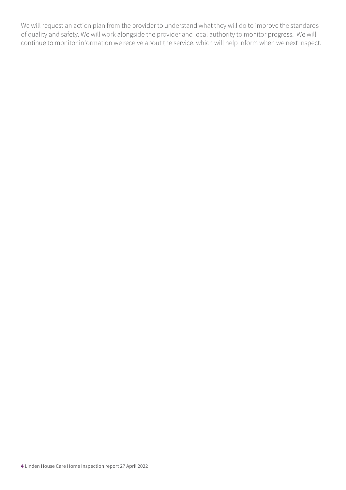We will request an action plan from the provider to understand what they will do to improve the standards of quality and safety. We will work alongside the provider and local authority to monitor progress. We will continue to monitor information we receive about the service, which will help inform when we next inspect.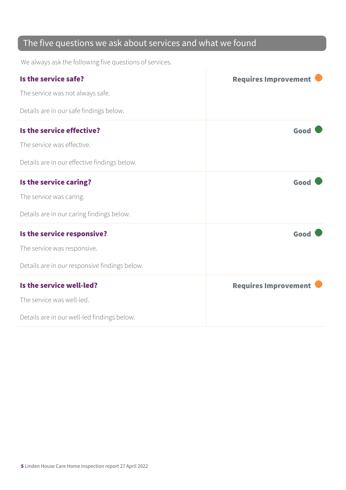### The five questions we ask about services and what we found

We always ask the following five questions of services.

| Is the service safe?                          | <b>Requires Improvement</b> |
|-----------------------------------------------|-----------------------------|
| The service was not always safe.              |                             |
| Details are in our safe findings below.       |                             |
| Is the service effective?                     | Good                        |
| The service was effective.                    |                             |
| Details are in our effective findings below.  |                             |
| Is the service caring?                        | Good                        |
| The service was caring.                       |                             |
| Details are in our caring findings below.     |                             |
| Is the service responsive?                    | Good                        |
| The service was responsive.                   |                             |
| Details are in our responsive findings below. |                             |
| Is the service well-led?                      | <b>Requires Improvement</b> |
| The service was well-led.                     |                             |
| Details are in our well-led findings below.   |                             |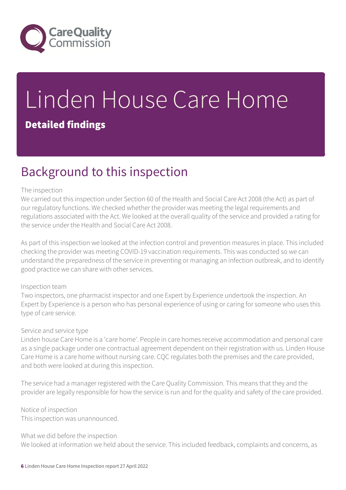

# Linden House Care Home Detailed findings

## Background to this inspection

#### The inspection

We carried out this inspection under Section 60 of the Health and Social Care Act 2008 (the Act) as part of our regulatory functions. We checked whether the provider was meeting the legal requirements and regulations associated with the Act. We looked at the overall quality of the service and provided a rating for the service under the Health and Social Care Act 2008.

As part of this inspection we looked at the infection control and prevention measures in place. This included checking the provider was meeting COVID-19 vaccination requirements. This was conducted so we can understand the preparedness of the service in preventing or managing an infection outbreak, and to identify good practice we can share with other services.

#### Inspection team

Two inspectors, one pharmacist inspector and one Expert by Experience undertook the inspection. An Expert by Experience is a person who has personal experience of using or caring for someone who uses this type of care service.

#### Service and service type

Linden house Care Home is a 'care home'. People in care homes receive accommodation and personal care as a single package under one contractual agreement dependent on their registration with us. Linden House Care Home is a care home without nursing care. CQC regulates both the premises and the care provided, and both were looked at during this inspection.

The service had a manager registered with the Care Quality Commission. This means that they and the provider are legally responsible for how the service is run and for the quality and safety of the care provided.

Notice of inspection This inspection was unannounced.

What we did before the inspection We looked at information we held about the service. This included feedback, complaints and concerns, as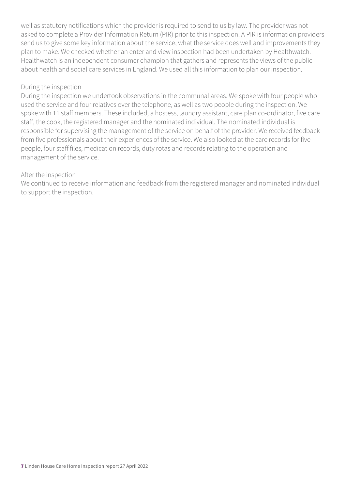well as statutory notifications which the provider is required to send to us by law. The provider was not asked to complete a Provider Information Return (PIR) prior to this inspection. A PIR is information providers send us to give some key information about the service, what the service does well and improvements they plan to make. We checked whether an enter and view inspection had been undertaken by Healthwatch. Healthwatch is an independent consumer champion that gathers and represents the views of the public about health and social care services in England. We used all this information to plan our inspection.

#### During the inspection

During the inspection we undertook observations in the communal areas. We spoke with four people who used the service and four relatives over the telephone, as well as two people during the inspection. We spoke with 11 staff members. These included, a hostess, laundry assistant, care plan co-ordinator, five care staff, the cook, the registered manager and the nominated individual. The nominated individual is responsible for supervising the management of the service on behalf of the provider. We received feedback from five professionals about their experiences of the service. We also looked at the care records for five people, four staff files, medication records, duty rotas and records relating to the operation and management of the service.

#### After the inspection

We continued to receive information and feedback from the registered manager and nominated individual to support the inspection.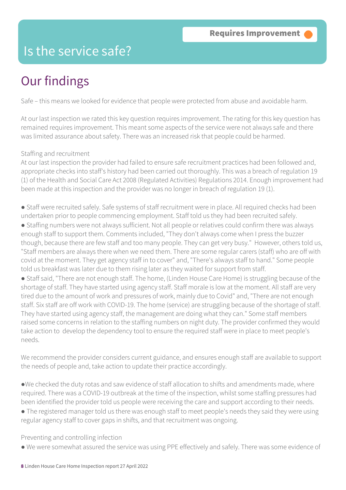### Is the service safe?

## Our findings

Safe – this means we looked for evidence that people were protected from abuse and avoidable harm.

At our last inspection we rated this key question requires improvement. The rating for this key question has remained requires improvement. This meant some aspects of the service were not always safe and there was limited assurance about safety. There was an increased risk that people could be harmed.

#### Staffing and recruitment

At our last inspection the provider had failed to ensure safe recruitment practices had been followed and, appropriate checks into staff's history had been carried out thoroughly. This was a breach of regulation 19 (1) of the Health and Social Care Act 2008 (Regulated Activities) Regulations 2014. Enough improvement had been made at this inspection and the provider was no longer in breach of regulation 19 (1).

● Staff were recruited safely. Safe systems of staff recruitment were in place. All required checks had been undertaken prior to people commencing employment. Staff told us they had been recruited safely.

● Staffing numbers were not always sufficient. Not all people or relatives could confirm there was always enough staff to support them. Comments included, "They don't always come when I press the buzzer though, because there are few staff and too many people. They can get very busy." However, others told us, "Staff members are always there when we need them. There are some regular carers (staff) who are off with covid at the moment. They get agency staff in to cover" and, "There's always staff to hand." Some people told us breakfast was later due to them rising later as they waited for support from staff.

● Staff said, "There are not enough staff. The home, (Linden House Care Home) is struggling because of the shortage of staff. They have started using agency staff. Staff morale is low at the moment. All staff are very tired due to the amount of work and pressures of work, mainly due to Covid" and, "There are not enough staff. Six staff are off work with COVID-19. The home (service) are struggling because of the shortage of staff. They have started using agency staff, the management are doing what they can." Some staff members raised some concerns in relation to the staffing numbers on night duty. The provider confirmed they would take action to develop the dependency tool to ensure the required staff were in place to meet people's needs.

We recommend the provider considers current guidance, and ensures enough staff are available to support the needs of people and, take action to update their practice accordingly.

●We checked the duty rotas and saw evidence of staff allocation to shifts and amendments made, where required. There was a COVID-19 outbreak at the time of the inspection, whilst some staffing pressures had been identified the provider told us people were receiving the care and support according to their needs.

● The registered manager told us there was enough staff to meet people's needs they said they were using regular agency staff to cover gaps in shifts, and that recruitment was ongoing.

Preventing and controlling infection

● We were somewhat assured the service was using PPE effectively and safely. There was some evidence of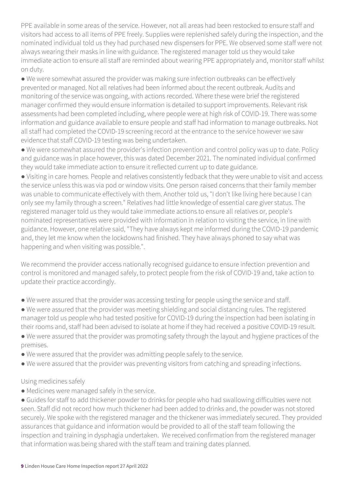PPE available in some areas of the service. However, not all areas had been restocked to ensure staff and visitors had access to all items of PPE freely. Supplies were replenished safely during the inspection, and the nominated individual told us they had purchased new dispensers for PPE. We observed some staff were not always wearing their masks in line with guidance. The registered manager told us they would take immediate action to ensure all staff are reminded about wearing PPE appropriately and, monitor staff whilst on duty.

● We were somewhat assured the provider was making sure infection outbreaks can be effectively prevented or managed. Not all relatives had been informed about the recent outbreak. Audits and monitoring of the service was ongoing, with actions recorded. Where these were brief the registered manager confirmed they would ensure information is detailed to support improvements. Relevant risk assessments had been completed including, where people were at high risk of COVID-19. There was some information and guidance available to ensure people and staff had information to manage outbreaks. Not all staff had completed the COVID-19 screening record at the entrance to the service however we saw evidence that staff COVID-19 testing was being undertaken.

● We were somewhat assured the provider's infection prevention and control policy was up to date. Policy and guidance was in place however, this was dated December 2021. The nominated individual confirmed they would take immediate action to ensure it reflected current up to date guidance.

● Visiting in care homes. People and relatives consistently fedback that they were unable to visit and access the service unless this was via pod or window visits. One person raised concerns that their family member was unable to communicate effectively with them. Another told us, "I don't like living here because I can only see my family through a screen." Relatives had little knowledge of essential care giver status. The registered manager told us they would take immediate actions to ensure all relatives or, people's nominated representatives were provided with information in relation to visiting the service, in line with guidance. However, one relative said, "They have always kept me informed during the COVID-19 pandemic and, they let me know when the lockdowns had finished. They have always phoned to say what was happening and when visiting was possible.".

We recommend the provider access nationally recognised guidance to ensure infection prevention and control is monitored and managed safely, to protect people from the risk of COVID-19 and, take action to update their practice accordingly.

- We were assured that the provider was accessing testing for people using the service and staff.
- We were assured that the provider was meeting shielding and social distancing rules. The registered manager told us people who had tested positive for COVID-19 during the inspection had been isolating in their rooms and, staff had been advised to isolate at home if they had received a positive COVID-19 result.
- We were assured that the provider was promoting safety through the layout and hygiene practices of the premises.
- We were assured that the provider was admitting people safely to the service.
- We were assured that the provider was preventing visitors from catching and spreading infections.

#### Using medicines safely

● Medicines were managed safely in the service.

● Guides for staff to add thickener powder to drinks for people who had swallowing difficulties were not seen. Staff did not record how much thickener had been added to drinks and, the powder was not stored securely. We spoke with the registered manager and the thickener was immediately secured. They provided assurances that guidance and information would be provided to all of the staff team following the inspection and training in dysphagia undertaken. We received confirmation from the registered manager that information was being shared with the staff team and training dates planned.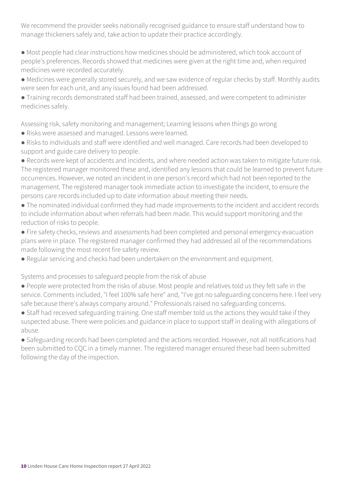We recommend the provider seeks nationally recognised guidance to ensure staff understand how to manage thickeners safely and, take action to update their practice accordingly.

● Most people had clear instructions how medicines should be administered, which took account of people's preferences. Records showed that medicines were given at the right time and, when required medicines were recorded accurately.

● Medicines were generally stored securely, and we saw evidence of regular checks by staff. Monthly audits were seen for each unit, and any issues found had been addressed.

● Training records demonstrated staff had been trained, assessed, and were competent to administer medicines safely.

Assessing risk, safety monitoring and management; Learning lessons when things go wrong

● Risks were assessed and managed. Lessons were learned.

● Risks to individuals and staff were identified and well managed. Care records had been developed to support and guide care delivery to people.

● Records were kept of accidents and incidents, and where needed action was taken to mitigate future risk. The registered manager monitored these and, identified any lessons that could be learned to prevent future occurrences. However, we noted an incident in one person's record which had not been reported to the management. The registered manager took immediate action to investigate the incident, to ensure the persons care records included up to date information about meeting their needs.

- The nominated individual confirmed they had made improvements to the incident and accident records to include information about when referrals had been made. This would support monitoring and the reduction of risks to people.
- Fire safety checks, reviews and assessments had been completed and personal emergency evacuation plans were in place. The registered manager confirmed they had addressed all of the recommendations made following the most recent fire safety review.
- Regular servicing and checks had been undertaken on the environment and equipment.

Systems and processes to safeguard people from the risk of abuse

● People were protected from the risks of abuse. Most people and relatives told us they felt safe in the service. Comments included, "I feel 100% safe here" and, "I've got no safeguarding concerns here. I feel very safe because there's always company around." Professionals raised no safeguarding concerns.

• Staff had received safeguarding training. One staff member told us the actions they would take if they suspected abuse. There were policies and guidance in place to support staff in dealing with allegations of abuse.

● Safeguarding records had been completed and the actions recorded. However, not all notifications had been submitted to CQC in a timely manner. The registered manager ensured these had been submitted following the day of the inspection.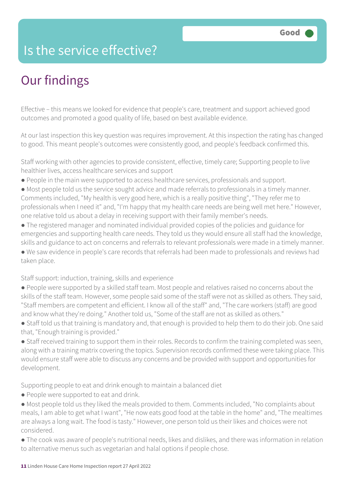### Is the service effective?

## Our findings

Effective – this means we looked for evidence that people's care, treatment and support achieved good outcomes and promoted a good quality of life, based on best available evidence.

At our last inspection this key question was requires improvement. At this inspection the rating has changed to good. This meant people's outcomes were consistently good, and people's feedback confirmed this.

Staff working with other agencies to provide consistent, effective, timely care; Supporting people to live healthier lives, access healthcare services and support

- People in the main were supported to access healthcare services, professionals and support.
- Most people told us the service sought advice and made referrals to professionals in a timely manner. Comments included, "My health is very good here, which is a really positive thing", "They refer me to professionals when I need it" and, "I'm happy that my health care needs are being well met here." However, one relative told us about a delay in receiving support with their family member's needs.
- The registered manager and nominated individual provided copies of the policies and guidance for emergencies and supporting health care needs. They told us they would ensure all staff had the knowledge, skills and guidance to act on concerns and referrals to relevant professionals were made in a timely manner.

● We saw evidence in people's care records that referrals had been made to professionals and reviews had taken place.

Staff support: induction, training, skills and experience

- People were supported by a skilled staff team. Most people and relatives raised no concerns about the skills of the staff team. However, some people said some of the staff were not as skilled as others. They said, "Staff members are competent and efficient. I know all of the staff" and, "The care workers (staff) are good and know what they're doing." Another told us, "Some of the staff are not as skilled as others."
- Staff told us that training is mandatory and, that enough is provided to help them to do their job. One said that, "Enough training is provided."

● Staff received training to support them in their roles. Records to confirm the training completed was seen, along with a training matrix covering the topics. Supervision records confirmed these were taking place. This would ensure staff were able to discuss any concerns and be provided with support and opportunities for development.

Supporting people to eat and drink enough to maintain a balanced diet

- People were supported to eat and drink.
- Most people told us they liked the meals provided to them. Comments included, "No complaints about meals, I am able to get what I want", "He now eats good food at the table in the home" and, "The mealtimes are always a long wait. The food is tasty." However, one person told us their likes and choices were not considered.
- The cook was aware of people's nutritional needs, likes and dislikes, and there was information in relation to alternative menus such as vegetarian and halal options if people chose.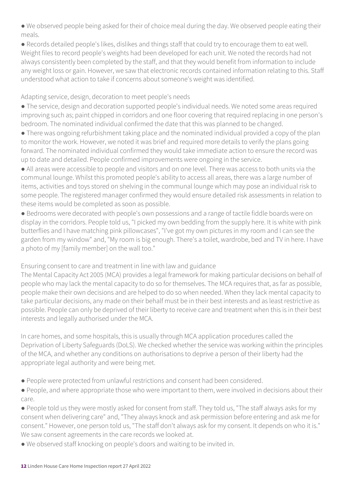● We observed people being asked for their of choice meal during the day. We observed people eating their meals.

● Records detailed people's likes, dislikes and things staff that could try to encourage them to eat well. Weight files to record people's weights had been developed for each unit. We noted the records had not always consistently been completed by the staff, and that they would benefit from information to include any weight loss or gain. However, we saw that electronic records contained information relating to this. Staff understood what action to take if concerns about someone's weight was identified.

Adapting service, design, decoration to meet people's needs

● The service, design and decoration supported people's individual needs. We noted some areas required improving such as; paint chipped in corridors and one floor covering that required replacing in one person's bedroom. The nominated individual confirmed the date that this was planned to be changed.

● There was ongoing refurbishment taking place and the nominated individual provided a copy of the plan to monitor the work. However, we noted it was brief and required more details to verify the plans going forward. The nominated individual confirmed they would take immediate action to ensure the record was up to date and detailed. People confirmed improvements were ongoing in the service.

● All areas were accessible to people and visitors and on one level. There was access to both units via the communal lounge. Whilst this promoted people's ability to access all areas, there was a large number of items, activities and toys stored on shelving in the communal lounge which may pose an individual risk to some people. The registered manager confirmed they would ensure detailed risk assessments in relation to these items would be completed as soon as possible.

● Bedrooms were decorated with people's own possessions and a range of tactile fiddle boards were on display in the corridors. People told us, "I picked my own bedding from the supply here. It is white with pink butterflies and I have matching pink pillowcases", "I've got my own pictures in my room and I can see the garden from my window" and, "My room is big enough. There's a toilet, wardrobe, bed and TV in here. I have a photo of my [family member] on the wall too."

Ensuring consent to care and treatment in line with law and guidance

The Mental Capacity Act 2005 (MCA) provides a legal framework for making particular decisions on behalf of people who may lack the mental capacity to do so for themselves. The MCA requires that, as far as possible, people make their own decisions and are helped to do so when needed. When they lack mental capacity to take particular decisions, any made on their behalf must be in their best interests and as least restrictive as possible. People can only be deprived of their liberty to receive care and treatment when this is in their best interests and legally authorised under the MCA.

In care homes, and some hospitals, this is usually through MCA application procedures called the Deprivation of Liberty Safeguards (DoLS). We checked whether the service was working within the principles of the MCA, and whether any conditions on authorisations to deprive a person of their liberty had the appropriate legal authority and were being met.

- People were protected from unlawful restrictions and consent had been considered.
- People, and where appropriate those who were important to them, were involved in decisions about their care.
- People told us they were mostly asked for consent from staff. They told us, "The staff always asks for my consent when delivering care" and, "They always knock and ask permission before entering and ask me for consent." However, one person told us, "The staff don't always ask for my consent. It depends on who it is." We saw consent agreements in the care records we looked at.
- We observed staff knocking on people's doors and waiting to be invited in.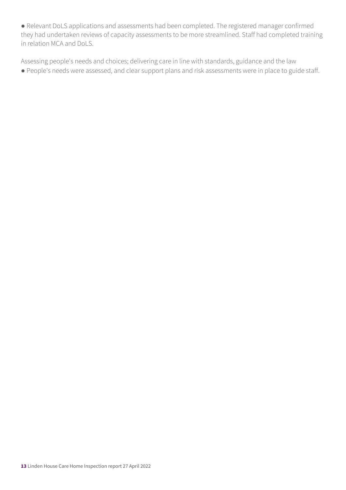● Relevant DoLS applications and assessments had been completed. The registered manager confirmed they had undertaken reviews of capacity assessments to be more streamlined. Staff had completed training in relation MCA and DoLS.

Assessing people's needs and choices; delivering care in line with standards, guidance and the law ● People's needs were assessed, and clear support plans and risk assessments were in place to guide staff.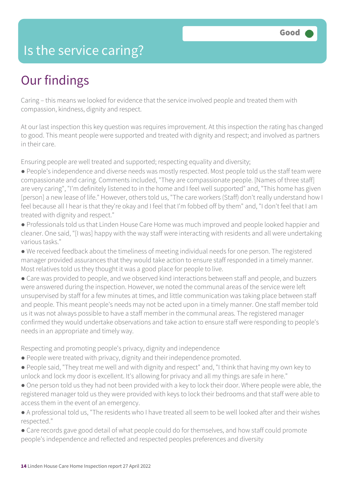### Is the service caring?

## Our findings

Caring – this means we looked for evidence that the service involved people and treated them with compassion, kindness, dignity and respect.

At our last inspection this key question was requires improvement. At this inspection the rating has changed to good. This meant people were supported and treated with dignity and respect; and involved as partners in their care.

Ensuring people are well treated and supported; respecting equality and diversity;

- People's independence and diverse needs was mostly respected. Most people told us the staff team were compassionate and caring. Comments included, "They are compassionate people. [Names of three staff] are very caring", "I'm definitely listened to in the home and I feel well supported" and, "This home has given [person] a new lease of life." However, others told us, "The care workers (Staff) don't really understand how I feel because all I hear is that they're okay and I feel that I'm fobbed off by them" and, "I don't feel that I am treated with dignity and respect."
- Professionals told us that Linden House Care Home was much improved and people looked happier and cleaner. One said, "[I was] happy with the way staff were interacting with residents and all were undertaking various tasks."
- We received feedback about the timeliness of meeting individual needs for one person. The registered manager provided assurances that they would take action to ensure staff responded in a timely manner. Most relatives told us they thought it was a good place for people to live.
- Care was provided to people, and we observed kind interactions between staff and people, and buzzers were answered during the inspection. However, we noted the communal areas of the service were left unsupervised by staff for a few minutes at times, and little communication was taking place between staff and people. This meant people's needs may not be acted upon in a timely manner. One staff member told us it was not always possible to have a staff member in the communal areas. The registered manager confirmed they would undertake observations and take action to ensure staff were responding to people's needs in an appropriate and timely way.

Respecting and promoting people's privacy, dignity and independence

- People were treated with privacy, dignity and their independence promoted.
- People said, "They treat me well and with dignity and respect" and, "I think that having my own key to unlock and lock my door is excellent. It's allowing for privacy and all my things are safe in here."
- One person told us they had not been provided with a key to lock their door. Where people were able, the registered manager told us they were provided with keys to lock their bedrooms and that staff were able to access them in the event of an emergency.
- A professional told us, "The residents who I have treated all seem to be well looked after and their wishes respected."
- Care records gave good detail of what people could do for themselves, and how staff could promote people's independence and reflected and respected peoples preferences and diversity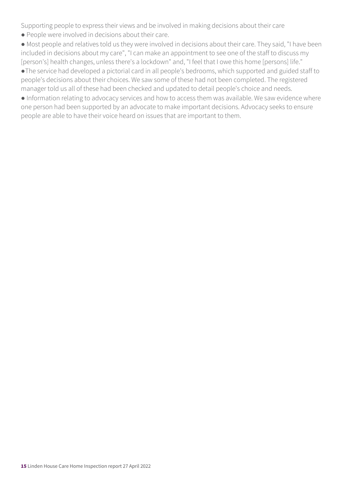Supporting people to express their views and be involved in making decisions about their care

● People were involved in decisions about their care.

● Most people and relatives told us they were involved in decisions about their care. They said, "I have been included in decisions about my care", "I can make an appointment to see one of the staff to discuss my [person's] health changes, unless there's a lockdown" and, "I feel that I owe this home [persons] life."

●The service had developed a pictorial card in all people's bedrooms, which supported and guided staff to people's decisions about their choices. We saw some of these had not been completed. The registered manager told us all of these had been checked and updated to detail people's choice and needs.

● Information relating to advocacy services and how to access them was available. We saw evidence where one person had been supported by an advocate to make important decisions. Advocacy seeks to ensure people are able to have their voice heard on issues that are important to them.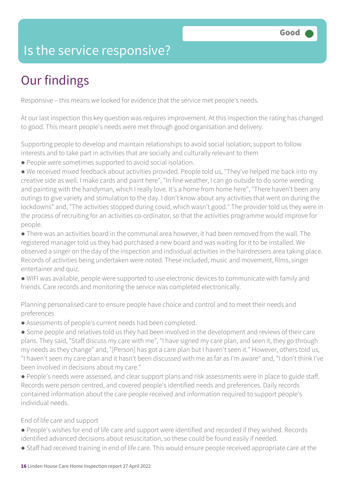### Is the service responsive?

## Our findings

Responsive – this means we looked for evidence that the service met people's needs.

At our last inspection this key question was requires improvement. At this inspection the rating has changed to good. This meant people's needs were met through good organisation and delivery.

Supporting people to develop and maintain relationships to avoid social isolation; support to follow interests and to take part in activities that are socially and culturally relevant to them

● People were sometimes supported to avoid social isolation.

● We received mixed feedback about activities provided. People told us, "They've helped me back into my creative side as well. I make cards and paint here", "In fine weather, I can go outside to do some weeding and painting with the handyman, which I really love. It's a home from home here", "There haven't been any outings to give variety and stimulation to the day. I don't know about any activities that went on during the lockdowns" and, "The activities stopped during covid, which wasn't good." The provider told us they were in the process of recruiting for an activities co-ordinator, so that the activities programme would improve for people.

● There was an activities board in the communal area however, it had been removed from the wall. The registered manager told us they had purchased a new board and was waiting for it to be installed. We observed a singer on the day of the inspection and individual activities in the hairdressers area taking place. Records of activities being undertaken were noted. These included, music and movement, films, singer entertainer and quiz.

● WIFI was available, people were supported to use electronic devices to communicate with family and friends. Care records and monitoring the service was completed electronically.

Planning personalised care to ensure people have choice and control and to meet their needs and preferences

● Assessments of people's current needs had been completed.

● Some people and relatives told us they had been involved in the development and reviews of their care plans. They said, "Staff discuss my care with me", "I have signed my care plan, and seen it, they go through my needs as they change" and, "[Person] has got a care plan but I haven't seen it." However, others told us, "I haven't seen my care plan and it hasn't been discussed with me as far as I'm aware" and, "I don't think I've been involved in decisions about my care."

● People's needs were assessed, and clear support plans and risk assessments were in place to guide staff. Records were person centred, and covered people's identified needs and preferences. Daily records contained information about the care people received and information required to support people's individual needs.

End of life care and support

- People's wishes for end of life care and support were identified and recorded if they wished. Records identified advanced decisions about resuscitation, so these could be found easily if needed.
- Staff had received training in end of life care. This would ensure people received appropriate care at the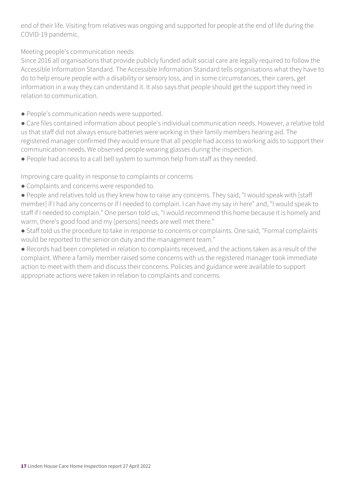end of their life. Visiting from relatives was ongoing and supported for people at the end of life during the COVID-19 pandemic.

Meeting people's communication needs

Since 2016 all organisations that provide publicly funded adult social care are legally required to follow the Accessible Information Standard. The Accessible Information Standard tells organisations what they have to do to help ensure people with a disability or sensory loss, and in some circumstances, their carers, get information in a way they can understand it. It also says that people should get the support they need in relation to communication.

- People's communication needs were supported.
- Care files contained information about people's individual communication needs. However, a relative told us that staff did not always ensure batteries were working in their family members hearing aid. The registered manager confirmed they would ensure that all people had access to working aids to support their communication needs. We observed people wearing glasses during the inspection.
- People had access to a call bell system to summon help from staff as they needed.

Improving care quality in response to complaints or concerns

- Complaints and concerns were responded to.
- People and relatives told us they knew how to raise any concerns. They said, "I would speak with [staff member] if I had any concerns or if I needed to complain. I can have my say in here" and, "I would speak to staff if I needed to complain." One person told us, "I would recommend this home because it is homely and warm, there's good food and my [persons] needs are well met there."
- Staff told us the procedure to take in response to concerns or complaints. One said, "Formal complaints would be reported to the senior on duty and the management team."
- Records had been completed in relation to complaints received, and the actions taken as a result of the complaint. Where a family member raised some concerns with us the registered manager took immediate action to meet with them and discuss their concerns. Policies and guidance were available to support appropriate actions were taken in relation to complaints and concerns.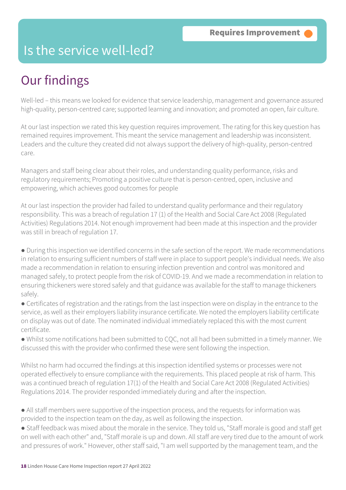### Is the service well-led?

## Our findings

Well-led – this means we looked for evidence that service leadership, management and governance assured high-quality, person-centred care; supported learning and innovation; and promoted an open, fair culture.

At our last inspection we rated this key question requires improvement. The rating for this key question has remained requires improvement. This meant the service management and leadership was inconsistent. Leaders and the culture they created did not always support the delivery of high-quality, person-centred care.

Managers and staff being clear about their roles, and understanding quality performance, risks and regulatory requirements; Promoting a positive culture that is person-centred, open, inclusive and empowering, which achieves good outcomes for people

At our last inspection the provider had failed to understand quality performance and their regulatory responsibility. This was a breach of regulation 17 (1) of the Health and Social Care Act 2008 (Regulated Activities) Regulations 2014. Not enough improvement had been made at this inspection and the provider was still in breach of regulation 17.

● During this inspection we identified concerns in the safe section of the report. We made recommendations in relation to ensuring sufficient numbers of staff were in place to support people's individual needs. We also made a recommendation in relation to ensuring infection prevention and control was monitored and managed safely, to protect people from the risk of COVID-19. And we made a recommendation in relation to ensuring thickeners were stored safely and that guidance was available for the staff to manage thickeners safely.

● Certificates of registration and the ratings from the last inspection were on display in the entrance to the service, as well as their employers liability insurance certificate. We noted the employers liability certificate on display was out of date. The nominated individual immediately replaced this with the most current certificate.

● Whilst some notifications had been submitted to CQC, not all had been submitted in a timely manner. We discussed this with the provider who confirmed these were sent following the inspection.

Whilst no harm had occurred the findings at this inspection identified systems or processes were not operated effectively to ensure compliance with the requirements. This placed people at risk of harm. This was a continued breach of regulation 17(1) of the Health and Social Care Act 2008 (Regulated Activities) Regulations 2014. The provider responded immediately during and after the inspection.

- All staff members were supportive of the inspection process, and the requests for information was provided to the inspection team on the day, as well as following the inspection.
- Staff feedback was mixed about the morale in the service. They told us, "Staff morale is good and staff get on well with each other" and, "Staff morale is up and down. All staff are very tired due to the amount of work and pressures of work." However, other staff said, "I am well supported by the management team, and the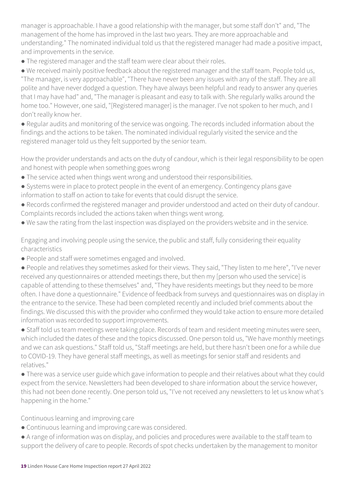manager is approachable. I have a good relationship with the manager, but some staff don't" and, "The management of the home has improved in the last two years. They are more approachable and understanding." The nominated individual told us that the registered manager had made a positive impact, and improvements in the service.

● The registered manager and the staff team were clear about their roles.

● We received mainly positive feedback about the registered manager and the staff team. People told us, "The manager, is very approachable", "There have never been any issues with any of the staff. They are all polite and have never dodged a question. They have always been helpful and ready to answer any queries that I may have had" and, "The manager is pleasant and easy to talk with. She regularly walks around the home too." However, one said, "[Registered manager] is the manager. I've not spoken to her much, and I don't really know her.

● Regular audits and monitoring of the service was ongoing. The records included information about the findings and the actions to be taken. The nominated individual regularly visited the service and the registered manager told us they felt supported by the senior team.

How the provider understands and acts on the duty of candour, which is their legal responsibility to be open and honest with people when something goes wrong

- The service acted when things went wrong and understood their responsibilities.
- Systems were in place to protect people in the event of an emergency. Contingency plans gave information to staff on action to take for events that could disrupt the service.
- Records confirmed the registered manager and provider understood and acted on their duty of candour. Complaints records included the actions taken when things went wrong.
- We saw the rating from the last inspection was displayed on the providers website and in the service.

Engaging and involving people using the service, the public and staff, fully considering their equality characteristics

- People and staff were sometimes engaged and involved.
- People and relatives they sometimes asked for their views. They said, "They listen to me here", "I've never received any questionnaires or attended meetings there, but then my [person who used the service] is capable of attending to these themselves" and, "They have residents meetings but they need to be more often. I have done a questionnaire." Evidence of feedback from surveys and questionnaires was on display in the entrance to the service. These had been completed recently and included brief comments about the findings. We discussed this with the provider who confirmed they would take action to ensure more detailed information was recorded to support improvements.

● Staff told us team meetings were taking place. Records of team and resident meeting minutes were seen, which included the dates of these and the topics discussed. One person told us, "We have monthly meetings and we can ask questions." Staff told us, "Staff meetings are held, but there hasn't been one for a while due to COVID-19. They have general staff meetings, as well as meetings for senior staff and residents and relatives."

● There was a service user guide which gave information to people and their relatives about what they could expect from the service. Newsletters had been developed to share information about the service however, this had not been done recently. One person told us, "I've not received any newsletters to let us know what's happening in the home."

Continuous learning and improving care

- Continuous learning and improving care was considered.
- A range of information was on display, and policies and procedures were available to the staff team to support the delivery of care to people. Records of spot checks undertaken by the management to monitor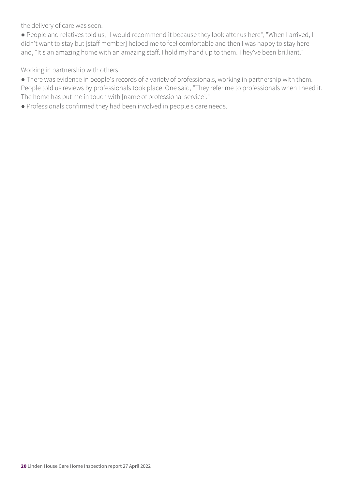the delivery of care was seen.

● People and relatives told us, "I would recommend it because they look after us here", "When I arrived, I didn't want to stay but [staff member] helped me to feel comfortable and then I was happy to stay here" and, "It's an amazing home with an amazing staff. I hold my hand up to them. They've been brilliant."

Working in partnership with others

● There was evidence in people's records of a variety of professionals, working in partnership with them. People told us reviews by professionals took place. One said, "They refer me to professionals when I need it. The home has put me in touch with [name of professional service]."

● Professionals confirmed they had been involved in people's care needs.